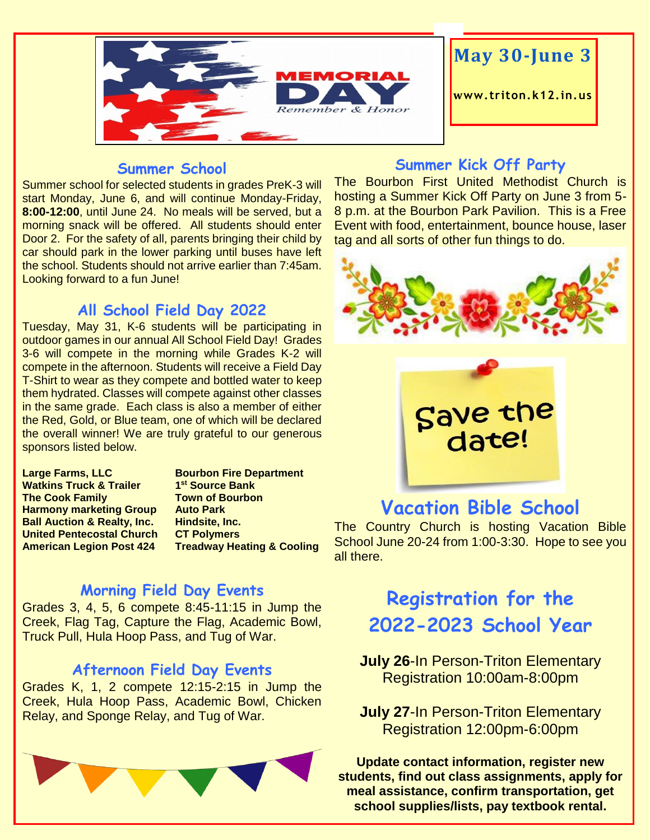

#### **Summer School**

Summer school for selected students in grades PreK-3 will start Monday, June 6, and will continue Monday-Friday, **8:00-12:00**, until June 24. No meals will be served, but a morning snack will be offered. All students should enter Door 2. For the safety of all, parents bringing their child by car should park in the lower parking until buses have left the school. Students should not arrive earlier than 7:45am. Looking forward to a fun June!

## **All School Field Day 2022**

Tuesday, May 31, K-6 students will be participating in outdoor games in our annual All School Field Day! Grades 3-6 will compete in the morning while Grades K-2 will compete in the afternoon. Students will receive a Field Day T-Shirt to wear as they compete and bottled water to keep them hydrated. Classes will compete against other classes in the same grade. Each class is also a member of either the Red, Gold, or Blue team, one of which will be declared the overall winner! We are truly grateful to our generous sponsors listed below.

**Large Farms, LLC Bourbon Fire Department Watkins Truck & Trailer The Cook Family Town of Bourbon Harmony marketing Group Auto Park Ball Auction & Realty, Inc. Hindsite, Inc. United Pentecostal Church CT Polymers**

**st Source Bank American Legion Post 424 Treadway Heating & Cooling**

## **Morning Field Day Events**

Grades 3, 4, 5, 6 compete 8:45-11:15 in Jump the Creek, Flag Tag, Capture the Flag, Academic Bowl, Truck Pull, Hula Hoop Pass, and Tug of War.

#### **Afternoon Field Day Events**

Grades K, 1, 2 compete 12:15-2:15 in Jump the Creek, Hula Hoop Pass, Academic Bowl, Chicken Relay, and Sponge Relay, and Tug of War.



## **Summer Kick Off Party**

The Bourbon First United Methodist Church is hosting a Summer Kick Off Party on June 3 from 5- 8 p.m. at the Bourbon Park Pavilion. This is a Free Event with food, entertainment, bounce house, laser tag and all sorts of other fun things to do.





## **Vacation Bible School**

The Country Church is hosting Vacation Bible School June 20-24 from 1:00-3:30. Hope to see you all there.

## **Registration for the 2022-2023 School Year**

**July 26-In Person-Triton Elementary** Registration 10:00am-8:00pm

**July 27-In Person-Triton Elementary** Registration 12:00pm-6:00pm

**Update contact information, register new students, find out class assignments, apply for meal assistance, confirm transportation, get school supplies/lists, pay textbook rental.**